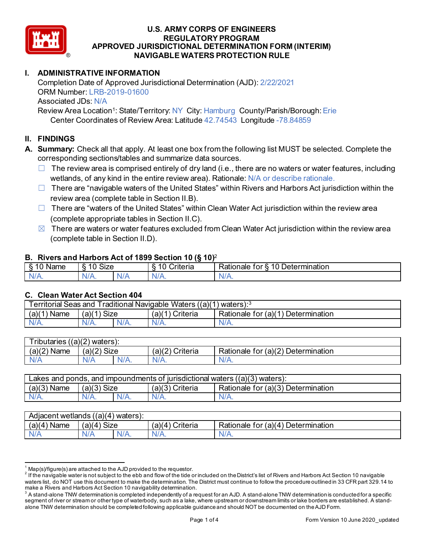

# **I. ADMINISTRATIVE INFORMATION**

Completion Date of Approved Jurisdictional Determination (AJD): 2/22/2021 ORM Number: LRB-2019-01600 Associated JDs: N/A

Review Area Location<sup>1</sup>: State/Territory: NY City: Hamburg County/Parish/Borough: Erie Center Coordinates of Review Area: Latitude 42.74543 Longitude -78.84859

# **II. FINDINGS**

**A. Summary:** Check all that apply. At least one box from the following list MUST be selected. Complete the corresponding sections/tables and summarize data sources.

- $\Box$  The review area is comprised entirely of dry land (i.e., there are no waters or water features, including wetlands, of any kind in the entire review area). Rationale: N/A or describe rationale.
- $\Box$  There are "navigable waters of the United States" within Rivers and Harbors Act jurisdiction within the review area (complete table in Section II.B).
- $\Box$  There are "waters of the United States" within Clean Water Act jurisdiction within the review area (complete appropriate tables in Section II.C).
- $\boxtimes$  There are waters or water features excluded from Clean Water Act jurisdiction within the review area (complete table in Section II.D).

#### **B. Rivers and Harbors Act of 1899 Section 10 (§ 10)**<sup>2</sup>

| $\cdot$         |                                    |     |                                          |                                                          |  |  |
|-----------------|------------------------------------|-----|------------------------------------------|----------------------------------------------------------|--|--|
| Name<br>-<br>., | $\ddot{\phantom{1}}$<br>10<br>SIZE |     | 10<br>- -<br>r<br>`rıtarın.<br>∼<br>lena | 10<br>-<br>_<br><b>Determination</b><br>ror<br>kationale |  |  |
| N/f<br>. .      | $N/A$ .                            | xı. | ND<br>.                                  | N<br>11 I N.                                             |  |  |

#### **C. Clean Water Act Section 404**

| <b>Territorial Seas and</b><br>Traditional Navigable Waters $((a)(1)$ waters): $3$ |                |         |                    |                                         |  |  |
|------------------------------------------------------------------------------------|----------------|---------|--------------------|-----------------------------------------|--|--|
| (a)(1)<br>Name                                                                     | Size<br>(a)(1) |         | (a)(1)<br>Criteria | Determination<br>Rationale for $(a)(1)$ |  |  |
| $N/A$ .                                                                            | $N/A$ .        | $N/A$ . | $N/A$ .            | N/A.                                    |  |  |

| $T$ ributaries<br>((a)(2)<br>waters). |             |         |                    |                                                         |  |  |
|---------------------------------------|-------------|---------|--------------------|---------------------------------------------------------|--|--|
| (a)(2)<br>Name                        | (a)(2) Size |         | (a)(2)<br>Criteria | for (a)(2) $\overline{ }$<br>Determination<br>Rationale |  |  |
| N/A                                   | A\V         | $N/A$ . | $N/A$ .            | N/A.                                                    |  |  |

| Lakes and ponds, and impoundments of jurisdictional waters $((a)(3)$ waters): |               |         |                 |                                    |  |  |
|-------------------------------------------------------------------------------|---------------|---------|-----------------|------------------------------------|--|--|
| $(a)(3)$ Name                                                                 | $(a)(3)$ Size |         | (a)(3) Criteria | Rationale for (a)(3) Determination |  |  |
| $N/A$ .                                                                       | $N/A$ .       | $N/A$ . | $N/A$ .         | N/A.                               |  |  |

| Adjacent wetlands ((a)(4) waters): |                      |         |                                    |                                         |  |  |
|------------------------------------|----------------------|---------|------------------------------------|-----------------------------------------|--|--|
| (a)(4)<br>Name                     | <b>Size</b><br>'a)(4 |         | Criteria<br>(a)(<br>$\overline{4}$ | Determination<br>Rationale for $(a)(4)$ |  |  |
| N/A                                | N/A                  | $N/A$ . | $N/A$ .                            | N/A.                                    |  |  |

 $^1$  Map(s)/figure(s) are attached to the AJD provided to the requestor.<br><sup>2</sup> If the navigable water is not subject to the ebb and flow of the tide or included on the District's list of Rivers and Harbors Act Section 10 na waters list, do NOT use this document to make the determination. The District must continue to follow the procedure outlined in 33 CFR part 329.14 to make a Rivers and Harbors Act Section 10 navigability determination.

 $^3$  A stand-alone TNW determination is completed independently of a request for an AJD. A stand-alone TNW determination is conducted for a specific segment of river or stream or other type of waterbody, such as a lake, where upstream or downstream limits or lake borders are established. A standalone TNW determination should be completed following applicable guidance and should NOT be documented on the AJD Form.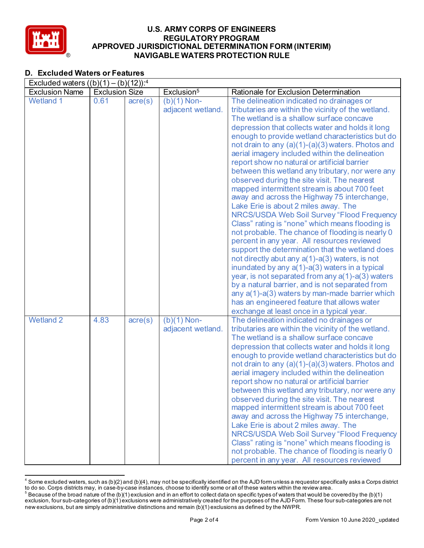

# **D. Excluded Waters or Features**

| Excluded waters $((b)(1) - (b)(12))$ : <sup>4</sup> |                       |                  |                        |                                                                                                |  |  |
|-----------------------------------------------------|-----------------------|------------------|------------------------|------------------------------------------------------------------------------------------------|--|--|
| <b>Exclusion Name</b>                               | <b>Exclusion Size</b> |                  | Exclusion <sup>5</sup> | Rationale for Exclusion Determination                                                          |  |  |
| <b>Wetland 1</b>                                    | 0.61                  | $\text{acre}(s)$ | $(b)(1)$ Non-          | The delineation indicated no drainages or                                                      |  |  |
|                                                     |                       |                  | adjacent wetland.      | tributaries are within the vicinity of the wetland.                                            |  |  |
|                                                     |                       |                  |                        | The wetland is a shallow surface concave                                                       |  |  |
|                                                     |                       |                  |                        | depression that collects water and holds it long                                               |  |  |
|                                                     |                       |                  |                        | enough to provide wetland characteristics but do                                               |  |  |
|                                                     |                       |                  |                        | not drain to any (a)(1)-(a)(3) waters. Photos and                                              |  |  |
|                                                     |                       |                  |                        | aerial imagery included within the delineation                                                 |  |  |
|                                                     |                       |                  |                        | report show no natural or artificial barrier                                                   |  |  |
|                                                     |                       |                  |                        | between this wetland any tributary, nor were any                                               |  |  |
|                                                     |                       |                  |                        | observed during the site visit. The nearest                                                    |  |  |
|                                                     |                       |                  |                        | mapped intermittent stream is about 700 feet                                                   |  |  |
|                                                     |                       |                  |                        | away and across the Highway 75 interchange,                                                    |  |  |
|                                                     |                       |                  |                        | Lake Erie is about 2 miles away. The                                                           |  |  |
|                                                     |                       |                  |                        | NRCS/USDA Web Soil Survey "Flood Frequency                                                     |  |  |
|                                                     |                       |                  |                        | Class" rating is "none" which means flooding is                                                |  |  |
|                                                     |                       |                  |                        | not probable. The chance of flooding is nearly 0                                               |  |  |
|                                                     |                       |                  |                        | percent in any year. All resources reviewed<br>support the determination that the wetland does |  |  |
|                                                     |                       |                  |                        | not directly abut any $a(1)$ -a(3) waters, is not                                              |  |  |
|                                                     |                       |                  |                        | inundated by any a(1)-a(3) waters in a typical                                                 |  |  |
|                                                     |                       |                  |                        | year, is not separated from any $a(1)$ -a(3) waters                                            |  |  |
|                                                     |                       |                  |                        | by a natural barrier, and is not separated from                                                |  |  |
|                                                     |                       |                  |                        | any a(1)-a(3) waters by man-made barrier which                                                 |  |  |
|                                                     |                       |                  |                        | has an engineered feature that allows water                                                    |  |  |
|                                                     |                       |                  |                        | exchange at least once in a typical year.                                                      |  |  |
| <b>Wetland 2</b>                                    | 4.83                  | $\text{acre}(s)$ | $(b)(1)$ Non-          | The delineation indicated no drainages or                                                      |  |  |
|                                                     |                       |                  | adjacent wetland.      | tributaries are within the vicinity of the wetland.                                            |  |  |
|                                                     |                       |                  |                        | The wetland is a shallow surface concave                                                       |  |  |
|                                                     |                       |                  |                        | depression that collects water and holds it long                                               |  |  |
|                                                     |                       |                  |                        | enough to provide wetland characteristics but do                                               |  |  |
|                                                     |                       |                  |                        | not drain to any (a)(1)-(a)(3) waters. Photos and                                              |  |  |
|                                                     |                       |                  |                        | aerial imagery included within the delineation                                                 |  |  |
|                                                     |                       |                  |                        | report show no natural or artificial barrier                                                   |  |  |
|                                                     |                       |                  |                        | between this wetland any tributary, nor were any                                               |  |  |
|                                                     |                       |                  |                        | observed during the site visit. The nearest                                                    |  |  |
|                                                     |                       |                  |                        | mapped intermittent stream is about 700 feet                                                   |  |  |
|                                                     |                       |                  |                        | away and across the Highway 75 interchange,                                                    |  |  |
|                                                     |                       |                  |                        | Lake Erie is about 2 miles away. The                                                           |  |  |
|                                                     |                       |                  |                        | NRCS/USDA Web Soil Survey "Flood Frequency                                                     |  |  |
|                                                     |                       |                  |                        | Class" rating is "none" which means flooding is                                                |  |  |
|                                                     |                       |                  |                        | not probable. The chance of flooding is nearly 0                                               |  |  |
|                                                     |                       |                  |                        | percent in any year. All resources reviewed                                                    |  |  |

 $^4$  Some excluded waters, such as (b)(2) and (b)(4), may not be specifically identified on the AJD form unless a requestor specifically asks a Corps district to do so. Corps districts may, in case-by-case instances, choose to identify some or all of these waters within the review area.

 $^5$  Because of the broad nature of the (b)(1) exclusion and in an effort to collect data on specific types of waters that would be covered by the (b)(1) exclusion, four sub-categories of (b)(1) exclusions were administratively created for the purposes of the AJD Form. These four sub-categories are not new exclusions, but are simply administrative distinctions and remain (b)(1) exclusions as defined by the NWPR.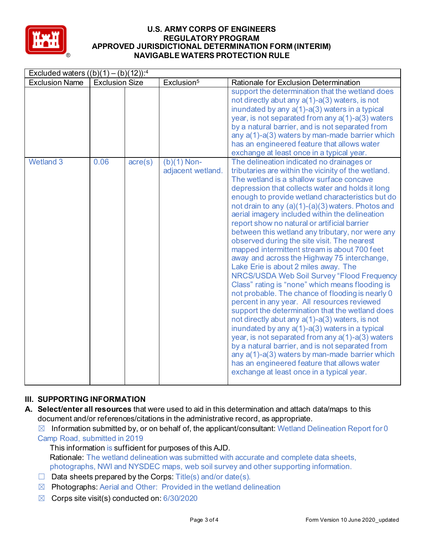

|                       | Excluded waters $((b)(1) - (b)(12))$ : <sup>4</sup> |         |                                    |                                                                                                                                                                                                                                                                                                                                                                                                                                                                                                                                                                                                                                                                                                                                                                                                                                                                                                                                                                                                                                                                                                                                                                                                                                                                                |  |  |
|-----------------------|-----------------------------------------------------|---------|------------------------------------|--------------------------------------------------------------------------------------------------------------------------------------------------------------------------------------------------------------------------------------------------------------------------------------------------------------------------------------------------------------------------------------------------------------------------------------------------------------------------------------------------------------------------------------------------------------------------------------------------------------------------------------------------------------------------------------------------------------------------------------------------------------------------------------------------------------------------------------------------------------------------------------------------------------------------------------------------------------------------------------------------------------------------------------------------------------------------------------------------------------------------------------------------------------------------------------------------------------------------------------------------------------------------------|--|--|
| <b>Exclusion Name</b> | <b>Exclusion Size</b>                               |         | Exclusion <sup>5</sup>             | Rationale for Exclusion Determination                                                                                                                                                                                                                                                                                                                                                                                                                                                                                                                                                                                                                                                                                                                                                                                                                                                                                                                                                                                                                                                                                                                                                                                                                                          |  |  |
|                       |                                                     |         |                                    | support the determination that the wetland does<br>not directly abut any a(1)-a(3) waters, is not<br>inundated by any a(1)-a(3) waters in a typical<br>year, is not separated from any $a(1)$ -a(3) waters<br>by a natural barrier, and is not separated from<br>any a(1)-a(3) waters by man-made barrier which<br>has an engineered feature that allows water<br>exchange at least once in a typical year.                                                                                                                                                                                                                                                                                                                                                                                                                                                                                                                                                                                                                                                                                                                                                                                                                                                                    |  |  |
| <b>Wetland 3</b>      | 0.06                                                | acre(s) | $(b)(1)$ Non-<br>adjacent wetland. | The delineation indicated no drainages or<br>tributaries are within the vicinity of the wetland.<br>The wetland is a shallow surface concave<br>depression that collects water and holds it long<br>enough to provide wetland characteristics but do<br>not drain to any (a)(1)-(a)(3) waters. Photos and<br>aerial imagery included within the delineation<br>report show no natural or artificial barrier<br>between this wetland any tributary, nor were any<br>observed during the site visit. The nearest<br>mapped intermittent stream is about 700 feet<br>away and across the Highway 75 interchange,<br>Lake Erie is about 2 miles away. The<br>NRCS/USDA Web Soil Survey "Flood Frequency<br>Class" rating is "none" which means flooding is<br>not probable. The chance of flooding is nearly 0<br>percent in any year. All resources reviewed<br>support the determination that the wetland does<br>not directly abut any $a(1)$ -a(3) waters, is not<br>inundated by any a(1)-a(3) waters in a typical<br>year, is not separated from any a(1)-a(3) waters<br>by a natural barrier, and is not separated from<br>any $a(1)$ - $a(3)$ waters by man-made barrier which<br>has an engineered feature that allows water<br>exchange at least once in a typical year. |  |  |

# **III. SUPPORTING INFORMATION**

- **A. Select/enter all resources** that were used to aid in this determination and attach data/maps to this document and/or references/citations in the administrative record, as appropriate.
	- $\boxtimes$  Information submitted by, or on behalf of, the applicant/consultant: Wetland Delineation Report for 0 Camp Road, submitted in 2019
		- This information is sufficient for purposes of this AJD. Rationale: The wetland delineation was submitted with accurate and complete data sheets, photographs, NWI and NYSDEC maps, web soil survey and other supporting information.
	- $\Box$  Data sheets prepared by the Corps: Title(s) and/or date(s).
	- $\boxtimes$  Photographs: Aerial and Other: Provided in the wetland delineation
	- $\boxtimes$  Corps site visit(s) conducted on: 6/30/2020